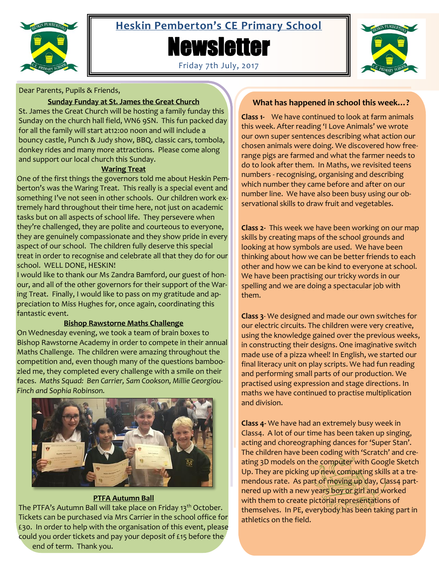

# **Heskin Pemberton's CE Primary School**

**Newsletter** 





# Dear Parents, Pupils & Friends,

#### **Sunday Funday at St. James the Great Church**

St. James the Great Church will be hosting a family funday this Sunday on the church hall field, WN6 9SN. This fun packed day for all the family will start at12:00 noon and will include a bouncy castle, Punch & Judy show, BBQ, classic cars, tombola, donkey rides and many more attractions. Please come along and support our local church this Sunday.

#### **Waring Treat**

One of the first things the governors told me about Heskin Pemberton's was the Waring Treat. This really is a special event and something I've not seen in other schools. Our children work extremely hard throughout their time here, not just on academic tasks but on all aspects of school life. They persevere when they're challenged, they are polite and courteous to everyone, they are genuinely compassionate and they show pride in every aspect of our school. The children fully deserve this special treat in order to recognise and celebrate all that they do for our school. WELL DONE, HESKIN!

I would like to thank our Ms Zandra Bamford, our guest of honour, and all of the other governors for their support of the Waring Treat. Finally, I would like to pass on my gratitude and appreciation to Miss Hughes for, once again, coordinating this fantastic event.

# **Bishop Rawstorne Maths Challenge**

On Wednesday evening, we took a team of brain boxes to Bishop Rawstorne Academy in order to compete in their annual Maths Challenge. The children were amazing throughout the competition and, even though many of the questions bamboozled me, they completed every challenge with a smile on their faces. *Maths Squad: Ben Carrier, Sam Cookson, Millie Georgiou-Finch and Sophia Robinson.*



# **PTFA Autumn Ball**

The PTFA's Autumn Ball will take place on Friday 13<sup>th</sup> October. Tickets can be purchased via Mrs Carrier in the school office for £30. In order to help with the organisation of this event, please could you order tickets and pay your deposit of £15 before the end of term. Thank you.

# **What has happened in school this week…?**

**Class 1-** We have continued to look at farm animals this week. After reading 'I Love Animals' we wrote our own super sentences describing what action our chosen animals were doing. We discovered how freerange pigs are farmed and what the farmer needs to do to look after them. In Maths, we revisited teens numbers - recognising, organising and describing which number they came before and after on our number line. We have also been busy using our observational skills to draw fruit and vegetables.

**Class 2-** This week we have been working on our map skills by creating maps of the school grounds and looking at how symbols are used. We have been thinking about how we can be better friends to each other and how we can be kind to everyone at school. We have been practising our tricky words in our spelling and we are doing a spectacular job with them.

**Class 3**- We designed and made our own switches for our electric circuits. The children were very creative, using the knowledge gained over the previous weeks, in constructing their designs. One imaginative switch made use of a pizza wheel! In English, we started our final literacy unit on play scripts. We had fun reading and performing small parts of our production. We practised using expression and stage directions. In maths we have continued to practise multiplication and division.

**Class 4-** We have had an extremely busy week in Class4. A lot of our time has been taken up singing, acting and choreographing dances for 'Super Stan'. The children have been coding with 'Scratch' and creating 3D models on the computer with Google Sketch Up. They are picking up new computing skills at a tremendous rate. As part of moving up day, Class4 partnered up with a new year5 boy or girl and worked with them to create pictorial representations of themselves. In PE, everybody has been taking part in athletics on the field.